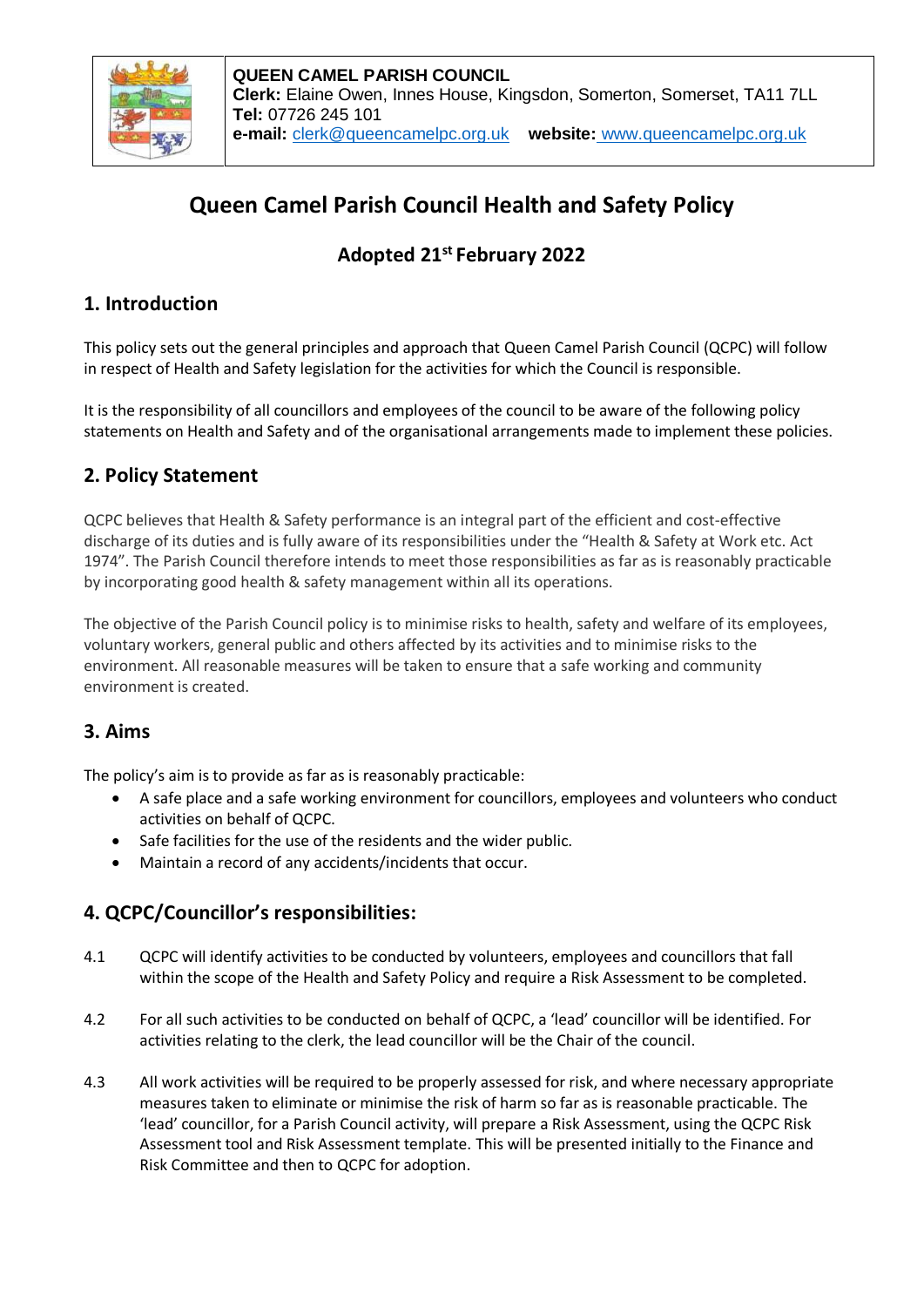

# **Queen Camel Parish Council Health and Safety Policy**

## **Adopted 21st February 2022**

#### **1. Introduction**

This policy sets out the general principles and approach that Queen Camel Parish Council (QCPC) will follow in respect of Health and Safety legislation for the activities for which the Council is responsible.

It is the responsibility of all councillors and employees of the council to be aware of the following policy statements on Health and Safety and of the organisational arrangements made to implement these policies.

### **2. Policy Statement**

QCPC believes that Health & Safety performance is an integral part of the efficient and cost-effective discharge of its duties and is fully aware of its responsibilities under the "Health & Safety at Work etc. Act 1974". The Parish Council therefore intends to meet those responsibilities as far as is reasonably practicable by incorporating good health & safety management within all its operations.

The objective of the Parish Council policy is to minimise risks to health, safety and welfare of its employees, voluntary workers, general public and others affected by its activities and to minimise risks to the environment. All reasonable measures will be taken to ensure that a safe working and community environment is created.

#### **3. Aims**

The policy's aim is to provide as far as is reasonably practicable:

- A safe place and a safe working environment for councillors, employees and volunteers who conduct activities on behalf of QCPC.
- Safe facilities for the use of the residents and the wider public.
- Maintain a record of any accidents/incidents that occur.

#### **4. QCPC/Councillor's responsibilities:**

- 4.1 QCPC will identify activities to be conducted by volunteers, employees and councillors that fall within the scope of the Health and Safety Policy and require a Risk Assessment to be completed.
- 4.2 For all such activities to be conducted on behalf of QCPC, a 'lead' councillor will be identified. For activities relating to the clerk, the lead councillor will be the Chair of the council.
- 4.3 All work activities will be required to be properly assessed for risk, and where necessary appropriate measures taken to eliminate or minimise the risk of harm so far as is reasonable practicable. The 'lead' councillor, for a Parish Council activity, will prepare a Risk Assessment, using the QCPC Risk Assessment tool and Risk Assessment template. This will be presented initially to the Finance and Risk Committee and then to QCPC for adoption.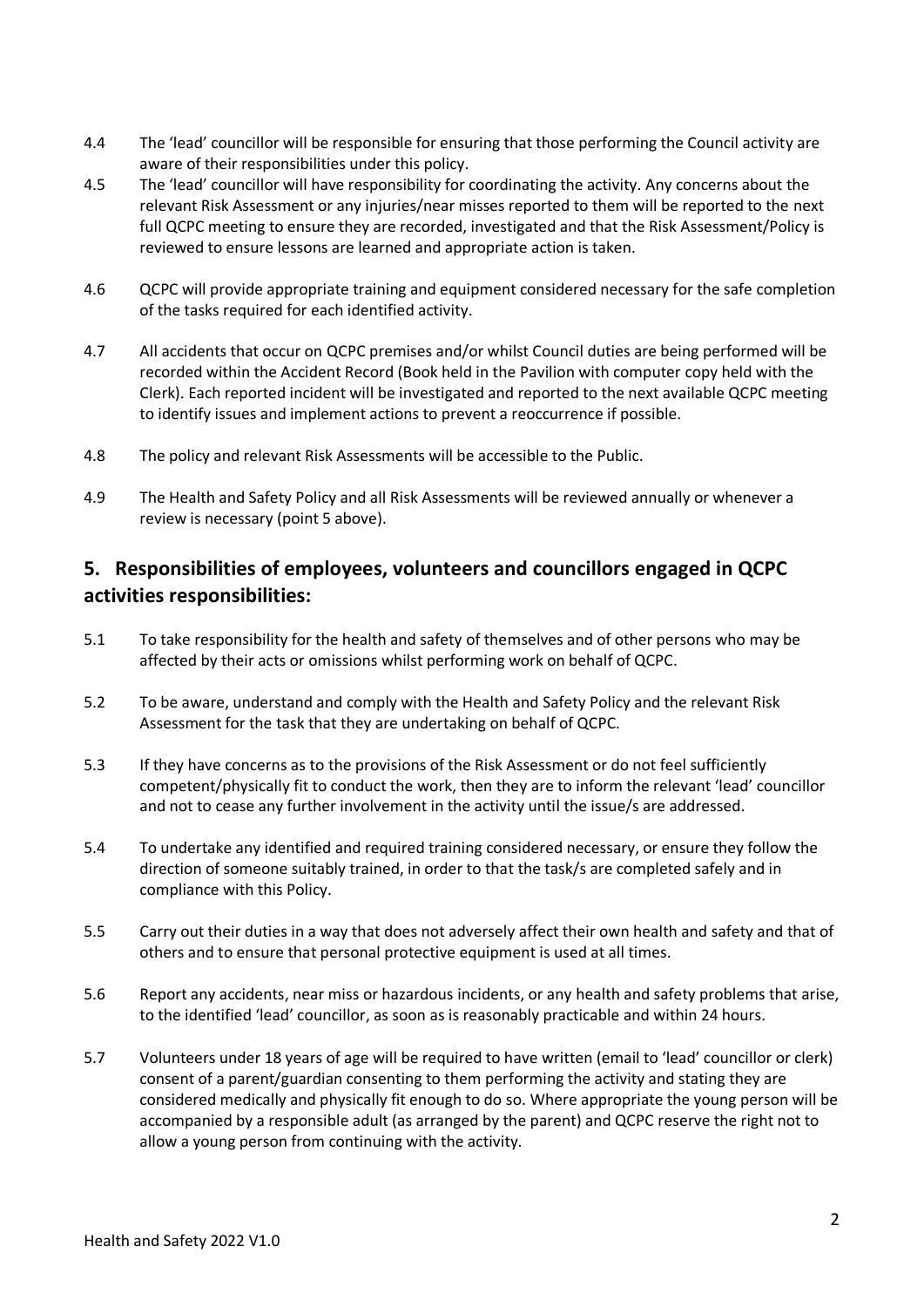- 4.4 The 'lead' councillor will be responsible for ensuring that those performing the Council activity are aware of their responsibilities under this policy.
- 4.5 The 'lead' councillor will have responsibility for coordinating the activity. Any concerns about the relevant Risk Assessment or any injuries/near misses reported to them will be reported to the next full QCPC meeting to ensure they are recorded, investigated and that the Risk Assessment/Policy is reviewed to ensure lessons are learned and appropriate action is taken.
- 4.6 QCPC will provide appropriate training and equipment considered necessary for the safe completion of the tasks required for each identified activity.
- 4.7 All accidents that occur on QCPC premises and/or whilst Council duties are being performed will be recorded within the Accident Record (Book held in the Pavilion with computer copy held with the Clerk). Each reported incident will be investigated and reported to the next available QCPC meeting to identify issues and implement actions to prevent a reoccurrence if possible.
- 4.8 The policy and relevant Risk Assessments will be accessible to the Public.
- 4.9 The Health and Safety Policy and all Risk Assessments will be reviewed annually or whenever a review is necessary (point 5 above).

#### **5. Responsibilities of employees, volunteers and councillors engaged in QCPC activities responsibilities:**

- 5.1 To take responsibility for the health and safety of themselves and of other persons who may be affected by their acts or omissions whilst performing work on behalf of QCPC.
- 5.2 To be aware, understand and comply with the Health and Safety Policy and the relevant Risk Assessment for the task that they are undertaking on behalf of QCPC.
- 5.3 If they have concerns as to the provisions of the Risk Assessment or do not feel sufficiently competent/physically fit to conduct the work, then they are to inform the relevant 'lead' councillor and not to cease any further involvement in the activity until the issue/s are addressed.
- 5.4 To undertake any identified and required training considered necessary, or ensure they follow the direction of someone suitably trained, in order to that the task/s are completed safely and in compliance with this Policy.
- 5.5 Carry out their duties in a way that does not adversely affect their own health and safety and that of others and to ensure that personal protective equipment is used at all times.
- 5.6 Report any accidents, near miss or hazardous incidents, or any health and safety problems that arise, to the identified 'lead' councillor, as soon as is reasonably practicable and within 24 hours.
- 5.7 Volunteers under 18 years of age will be required to have written (email to 'lead' councillor or clerk) consent of a parent/guardian consenting to them performing the activity and stating they are considered medically and physically fit enough to do so. Where appropriate the young person will be accompanied by a responsible adult (as arranged by the parent) and QCPC reserve the right not to allow a young person from continuing with the activity.